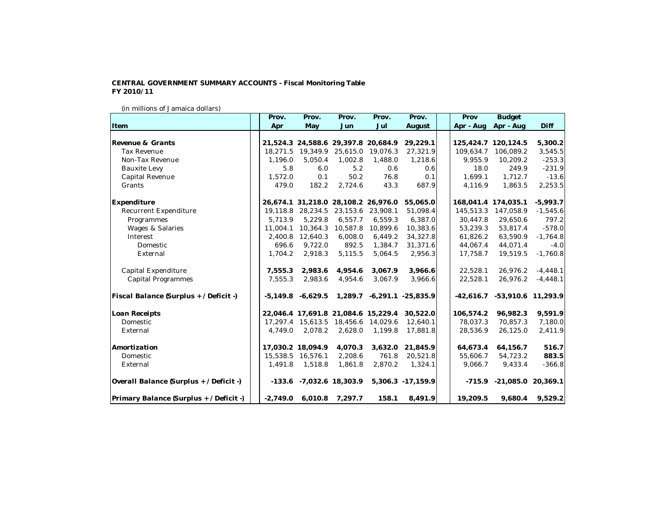## **CENTRAL GOVERNMENT SUMMARY ACCOUNTS - Fiscal Monitoring Table FY 2010/11**

## (in millions of Jamaica dollars)

|                                         | Prov.      | Prov.                 | Prov.                               | Prov.    | Prov.                      | Prov      | <b>Budget</b>                    |            |
|-----------------------------------------|------------|-----------------------|-------------------------------------|----------|----------------------------|-----------|----------------------------------|------------|
| Item                                    | Apr        | May                   | Jun                                 | Jul      | August                     | Apr - Aug | Apr - Aug                        | Diff       |
|                                         |            |                       |                                     |          |                            |           |                                  |            |
| Revenue & Grants                        |            |                       | 21,524.3 24,588.6 29,397.8 20,684.9 |          | 29,229.1                   |           | 125, 424.7 120, 124.5            | 5,300.2    |
| <b>Tax Revenue</b>                      |            | 18,271.5 19,349.9     | 25,615.0                            | 19,076.3 | 27,321.9                   | 109,634.7 | 106,089.2                        | 3,545.5    |
| Non-Tax Revenue                         | 1,196.0    | 5,050.4               | 1,002.8                             | 1,488.0  | 1,218.6                    | 9,955.9   | 10,209.2                         | $-253.3$   |
| <b>Bauxite Levy</b>                     | 5.8        | 6.0                   | 5.2                                 | 0.6      | 0.6                        | 18.0      | 249.9                            | $-231.9$   |
| Capital Revenue                         | 1,572.0    | 0.1                   | 50.2                                | 76.8     | 0.1                        | 1,699.1   | 1,712.7                          | $-13.6$    |
| Grants                                  | 479.0      | 182.2                 | 2,724.6                             | 43.3     | 687.9                      | 4,116.9   | 1,863.5                          | 2,253.5    |
| Expenditure                             |            |                       | 26,674.1 31,218.0 28,108.2 26,976.0 |          | 55,065.0                   |           | 168,041.4 174,035.1              | $-5,993.7$ |
| <b>Recurrent Expenditure</b>            | 19,118.8   | 28,234.5              | 23,153.6                            | 23,908.1 | 51,098.4                   | 145,513.3 | 147,058.9                        | $-1,545.6$ |
| Programmes                              | 5,713.9    | 5,229.8               | 6,557.7                             | 6,559.3  | 6,387.0                    | 30,447.8  | 29,650.6                         | 797.2      |
| <b>Wages &amp; Salaries</b>             |            | 11,004.1 10,364.3     | 10,587.8                            | 10,899.6 | 10,383.6                   | 53,239.3  | 53,817.4                         | $-578.0$   |
| Interest                                |            | 2,400.8 12,640.3      | 6,008.0                             | 6,449.2  | 34,327.8                   | 61,826.2  | 63,590.9                         | $-1,764.8$ |
| Domestic                                | 696.6      | 9,722.0               | 892.5                               | 1,384.7  | 31,371.6                   | 44,067.4  | 44,071.4                         | $-4.0$     |
| External                                | 1,704.2    | 2,918.3               | 5,115.5                             | 5,064.5  | 2,956.3                    | 17,758.7  | 19,519.5                         | $-1,760.8$ |
| Capital Expenditure                     | 7,555.3    | 2,983.6               | 4,954.6                             | 3,067.9  | 3,966.6                    | 22,528.1  | 26,976.2                         | $-4,448.1$ |
| <b>Capital Programmes</b>               | 7,555.3    | 2,983.6               | 4,954.6                             | 3,067.9  | 3,966.6                    | 22,528.1  | 26,976.2                         | $-4,448.1$ |
| Fiscal Balance (Surplus + / Deficit -)  |            | $-5,149.8$ $-6,629.5$ |                                     |          | 1,289.7 -6,291.1 -25,835.9 |           | $-42,616.7$ $-53,910.6$ 11,293.9 |            |
| Loan Receipts                           |            |                       | 22,046.4 17,691.8 21,084.6 15,229.4 |          | 30,522.0                   | 106,574.2 | 96,982.3                         | 9,591.9    |
| Domestic                                |            |                       | 17,297.4 15,613.5 18,456.6 14,029.6 |          | 12,640.1                   | 78,037.3  | 70,857.3                         | 7,180.0    |
| External                                | 4.749.0    | 2,078.2               | 2,628.0                             | 1,199.8  | 17,881.8                   | 28,536.9  | 26,125.0                         | 2,411.9    |
| Amortization                            |            | 17,030.2 18,094.9     | 4,070.3                             | 3,632.0  | 21,845.9                   | 64,673.4  | 64,156.7                         | 516.7      |
| Domestic                                |            | 15,538.5 16,576.1     | 2,208.6                             | 761.8    | 20,521.8                   | 55,606.7  | 54,723.2                         | 883.5      |
| External                                | 1,491.8    | 1,518.8               | 1,861.8                             | 2,870.2  | 1,324.1                    | 9,066.7   | 9,433.4                          | $-366.8$   |
| Overall Balance (Surplus + / Deficit -) |            |                       | $-133.6$ $-7,032.6$ 18,303.9        |          | 5,306.3 -17,159.9          |           | $-715.9$ $-21,085.0$ $20,369.1$  |            |
| Primary Balance (Surplus + / Deficit -) | $-2,749.0$ | 6,010.8               | 7,297.7                             | 158.1    | 8,491.9                    | 19,209.5  | 9,680.4                          | 9,529.2    |